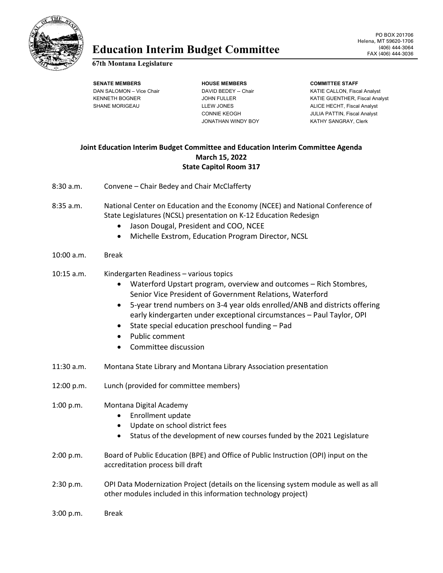

# Education Interim Budget Committee **FAX (406)** 444-3064

#### **67th Montana Legislature**

**SENATE MEMBERS HOUSE MEMBERS COMMITTEE STAFF**

JONATHAN WINDY BOY KATHY SANGRAY, Clerk

DAN SALOMON – Vice Chair **DAVID BEDEY -- Chair** KATIE CALLON, Fiscal Analyst KENNETH BOGNER GERALD OOR JOHN FULLER THE SAME SEATHER WATIE GUENTHER, Fiscal Analyst SHANE MORIGEAU **Report CONTAINS ALICE HECHT, Fiscal Analyst** LEW JONES **ALICE HECHT**, Fiscal Analyst CONNIE KEOGH JULIA PATTIN, Fiscal Analyst

# **Joint Education Interim Budget Committee and Education Interim Committee Agenda March 15, 2022 State Capitol Room 317**

- 8:30 a.m. Convene Chair Bedey and Chair McClafferty 8:35 a.m. National Center on Education and the Economy (NCEE) and National Conference of State Legislatures (NCSL) presentation on K-12 Education Redesign
	- Jason Dougal, President and COO, NCEE
	- Michelle Exstrom, Education Program Director, NCSL

#### 10:00 a.m. Break

## 10:15 a.m. Kindergarten Readiness – various topics

- Waterford Upstart program, overview and outcomes Rich Stombres, Senior Vice President of Government Relations, Waterford
- 5-year trend numbers on 3-4 year olds enrolled/ANB and districts offering early kindergarten under exceptional circumstances – Paul Taylor, OPI
- State special education preschool funding Pad
- Public comment
- Committee discussion
- 11:30 a.m. Montana State Library and Montana Library Association presentation
- 12:00 p.m. Lunch (provided for committee members)

## 1:00 p.m. Montana Digital Academy

- Enrollment update
- Update on school district fees
- Status of the development of new courses funded by the 2021 Legislature
- 2:00 p.m. Board of Public Education (BPE) and Office of Public Instruction (OPI) input on the accreditation process bill draft
- 2:30 p.m. OPI Data Modernization Project (details on the licensing system module as well as all other modules included in this information technology project)
- 3:00 p.m. Break